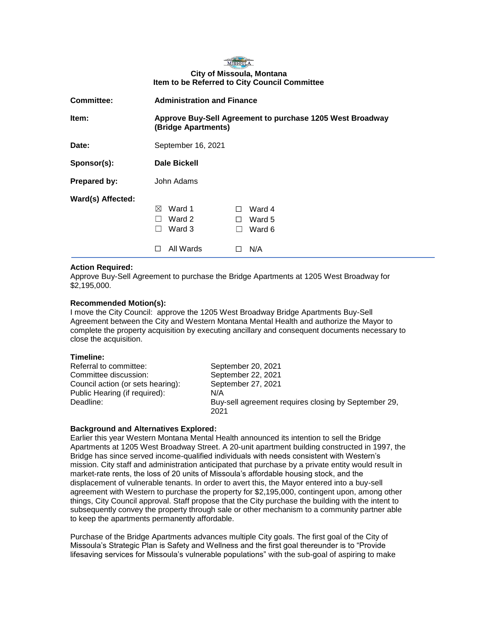# MISSOULA **City of Missoula, Montana Item to be Referred to City Council Committee**

| <b>Committee:</b> | <b>Administration and Finance</b>                                                |                                                             |
|-------------------|----------------------------------------------------------------------------------|-------------------------------------------------------------|
| Item:             | Approve Buy-Sell Agreement to purchase 1205 West Broadway<br>(Bridge Apartments) |                                                             |
| Date:             | September 16, 2021                                                               |                                                             |
| Sponsor(s):       | <b>Dale Bickell</b>                                                              |                                                             |
| Prepared by:      | John Adams                                                                       |                                                             |
| Ward(s) Affected: | Ward 1<br>⊠<br>Ward 2<br>Ward 3<br>All Wards<br>H                                | Ward 4<br>П<br>Ward 5<br>$\perp$<br>Ward 6<br>$\Box$<br>N/A |

## **Action Required:**

Approve Buy-Sell Agreement to purchase the Bridge Apartments at 1205 West Broadway for \$2,195,000.

## **Recommended Motion(s):**

I move the City Council: approve the 1205 West Broadway Bridge Apartments Buy-Sell Agreement between the City and Western Montana Mental Health and authorize the Mayor to complete the property acquisition by executing ancillary and consequent documents necessary to close the acquisition.

# **Timeline:**

| Referral to committee:<br>Committee discussion: | September 20, 2021<br>September 22, 2021                     |
|-------------------------------------------------|--------------------------------------------------------------|
| Council action (or sets hearing):               | September 27, 2021                                           |
| Public Hearing (if required):                   | N/A                                                          |
| Deadline:                                       | Buy-sell agreement requires closing by September 29,<br>2021 |

### **Background and Alternatives Explored:**

Earlier this year Western Montana Mental Health announced its intention to sell the Bridge Apartments at 1205 West Broadway Street. A 20-unit apartment building constructed in 1997, the Bridge has since served income-qualified individuals with needs consistent with Western's mission. City staff and administration anticipated that purchase by a private entity would result in market-rate rents, the loss of 20 units of Missoula's affordable housing stock, and the displacement of vulnerable tenants. In order to avert this, the Mayor entered into a buy-sell agreement with Western to purchase the property for \$2,195,000, contingent upon, among other things, City Council approval. Staff propose that the City purchase the building with the intent to subsequently convey the property through sale or other mechanism to a community partner able to keep the apartments permanently affordable.

Purchase of the Bridge Apartments advances multiple City goals. The first goal of the City of Missoula's Strategic Plan is Safety and Wellness and the first goal thereunder is to "Provide lifesaving services for Missoula's vulnerable populations" with the sub-goal of aspiring to make